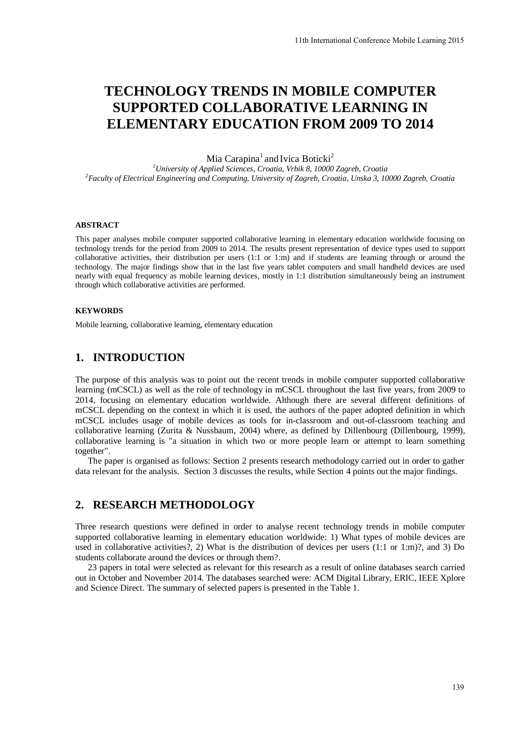# **TECHNOLOGY TRENDS IN MOBILE COMPUTER SUPPORTED COLLABORATIVE LEARNING IN ELEMENTARY EDUCATION FROM 2009 TO 2014**

Mia Carapina<sup>1</sup> and Ivica Boticki<sup>2</sup>

*<sup>1</sup>University of Applied Sciences, Croatia, Vrbik 8, 10000 Zagreb, Croatia <sup>2</sup>Faculty of Electrical Engineering and Computing, University of Zagreb, Croatia, Unska 3, 10000 Zagreb, Croatia* 

#### **ABSTRACT**

This paper analyses mobile computer supported collaborative learning in elementary education worldwide focusing on technology trends for the period from 2009 to 2014. The results present representation of device types used to support collaborative activities, their distribution per users (1:1 or 1:m) and if students are learning through or around the technology. The major findings show that in the last five years tablet computers and small handheld devices are used nearly with equal frequency as mobile learning devices, mostly in 1:1 distribution simultaneously being an instrument through which collaborative activities are performed.

#### **KEYWORDS**

Mobile learning, collaborative learning, elementary education

#### **1. INTRODUCTION**

The purpose of this analysis was to point out the recent trends in mobile computer supported collaborative learning (mCSCL) as well as the role of technology in mCSCL throughout the last five years, from 2009 to 2014, focusing on elementary education worldwide. Although there are several different definitions of mCSCL depending on the context in which it is used, the authors of the paper adopted definition in which mCSCL includes usage of mobile devices as tools for in-classroom and out-of-classroom teaching and collaborative learning (Zurita & Nussbaum, 2004) where, as defined by Dillenbourg (Dillenbourg, 1999), collaborative learning is "a situation in which two or more people learn or attempt to learn something together".

The paper is organised as follows: Section 2 presents research methodology carried out in order to gather data relevant for the analysis. Section 3 discusses the results, while Section 4 points out the major findings.

#### **2. RESEARCH METHODOLOGY**

Three research questions were defined in order to analyse recent technology trends in mobile computer supported collaborative learning in elementary education worldwide: 1) What types of mobile devices are used in collaborative activities?, 2) What is the distribution of devices per users (1:1 or 1:m)?, and 3) Do students collaborate around the devices or through them?.

23 papers in total were selected as relevant for this research as a result of online databases search carried out in October and November 2014. The databases searched were: ACM Digital Library, ERIC, IEEE Xplore and Science Direct. The summary of selected papers is presented in th[e Table 1.](#page-1-0)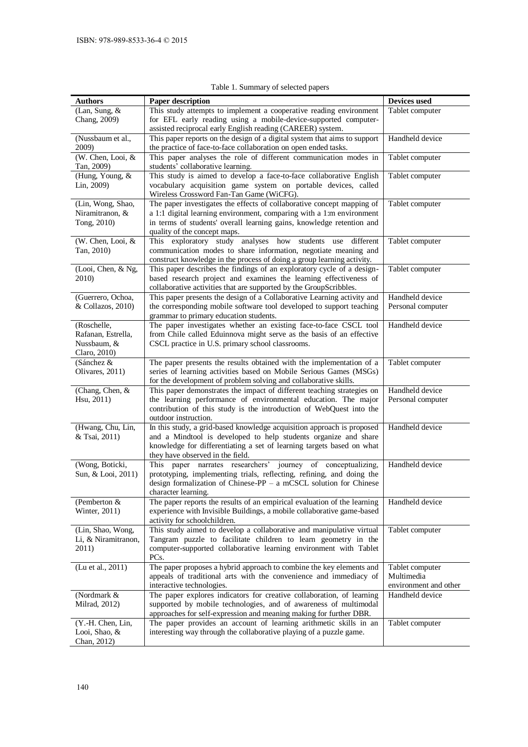<span id="page-1-0"></span>

| <b>Authors</b>                                                   | Paper description                                                                                                                                                                                                                                       | Devices used                                           |
|------------------------------------------------------------------|---------------------------------------------------------------------------------------------------------------------------------------------------------------------------------------------------------------------------------------------------------|--------------------------------------------------------|
| (Lan, Sung, &<br>Chang, 2009)                                    | This study attempts to implement a cooperative reading environment<br>for EFL early reading using a mobile-device-supported computer-<br>assisted reciprocal early English reading (CAREER) system.                                                     | Tablet computer                                        |
| (Nussbaum et al.,<br>2009)                                       | This paper reports on the design of a digital system that aims to support<br>the practice of face-to-face collaboration on open ended tasks.                                                                                                            | Handheld device                                        |
| (W. Chen, Looi, &<br>Tan, 2009)                                  | This paper analyses the role of different communication modes in<br>students' collaborative learning.                                                                                                                                                   | Tablet computer                                        |
| (Hung, Young, &<br>Lin, 2009)                                    | This study is aimed to develop a face-to-face collaborative English<br>vocabulary acquisition game system on portable devices, called<br>Wireless Crossword Fan-Tan Game (WiCFG).                                                                       | Tablet computer                                        |
| (Lin, Wong, Shao,<br>Niramitranon, &<br>Tong, 2010)              | The paper investigates the effects of collaborative concept mapping of<br>a 1:1 digital learning environment, comparing with a 1:m environment<br>in terms of students' overall learning gains, knowledge retention and<br>quality of the concept maps. | Tablet computer                                        |
| (W. Chen, Looi, &<br>Tan, 2010)                                  | This exploratory study analyses<br>how students use<br>different<br>communication modes to share information, negotiate meaning and<br>construct knowledge in the process of doing a group learning activity.                                           | Tablet computer                                        |
| (Looi, Chen, & Ng,<br>2010)                                      | This paper describes the findings of an exploratory cycle of a design-<br>based research project and examines the learning effectiveness of<br>collaborative activities that are supported by the GroupScribbles.                                       | Tablet computer                                        |
| (Guerrero, Ochoa,<br>& Collazos, 2010)                           | This paper presents the design of a Collaborative Learning activity and<br>the corresponding mobile software tool developed to support teaching<br>grammar to primary education students.                                                               | Handheld device<br>Personal computer                   |
| (Roschelle,<br>Rafanan, Estrella,<br>Nussbaum, &<br>Claro, 2010) | The paper investigates whether an existing face-to-face CSCL tool<br>from Chile called Eduinnova might serve as the basis of an effective<br>CSCL practice in U.S. primary school classrooms.                                                           | Handheld device                                        |
| (Sánchez &<br>Olivares, 2011)                                    | The paper presents the results obtained with the implementation of a<br>series of learning activities based on Mobile Serious Games (MSGs)<br>for the development of problem solving and collaborative skills.                                          | Tablet computer                                        |
| (Chang, Chen, &<br>Hsu, 2011)                                    | This paper demonstrates the impact of different teaching strategies on<br>the learning performance of environmental education. The major<br>contribution of this study is the introduction of WebQuest into the<br>outdoor instruction.                 | Handheld device<br>Personal computer                   |
| (Hwang, Chu, Lin,<br>& Tsai, 2011)                               | In this study, a grid-based knowledge acquisition approach is proposed<br>and a Mindtool is developed to help students organize and share<br>knowledge for differentiating a set of learning targets based on what<br>they have observed in the field.  | Handheld device                                        |
| (Wong, Boticki,<br>Sun, & Looi, 2011)                            | This<br>paper narrates researchers'<br>journey of conceptualizing,<br>prototyping, implementing trials, reflecting, refining, and doing the<br>design formalization of Chinese-PP - a mCSCL solution for Chinese<br>character learning.                 | Handheld device                                        |
| (Pemberton &<br>Winter, 2011)                                    | The paper reports the results of an empirical evaluation of the learning<br>experience with Invisible Buildings, a mobile collaborative game-based<br>activity for schoolchildren.                                                                      | Handheld device                                        |
| (Lin, Shao, Wong,<br>Li, & Niramitranon,<br>2011)                | This study aimed to develop a collaborative and manipulative virtual<br>Tangram puzzle to facilitate children to learn geometry in the<br>computer-supported collaborative learning environment with Tablet<br>PCs.                                     | Tablet computer                                        |
| (Lu et al., 2011)                                                | The paper proposes a hybrid approach to combine the key elements and<br>appeals of traditional arts with the convenience and immediacy of<br>interactive technologies.                                                                                  | Tablet computer<br>Multimedia<br>environment and other |
| (Nordmark &<br>Milrad, 2012)                                     | The paper explores indicators for creative collaboration, of learning<br>supported by mobile technologies, and of awareness of multimodal<br>approaches for self-expression and meaning making for further DBR.                                         | Handheld device                                        |
| (Y.-H. Chen, Lin,<br>Looi, Shao, &<br>Chan, 2012)                | The paper provides an account of learning arithmetic skills in an<br>interesting way through the collaborative playing of a puzzle game.                                                                                                                | Tablet computer                                        |

Table 1. Summary of selected papers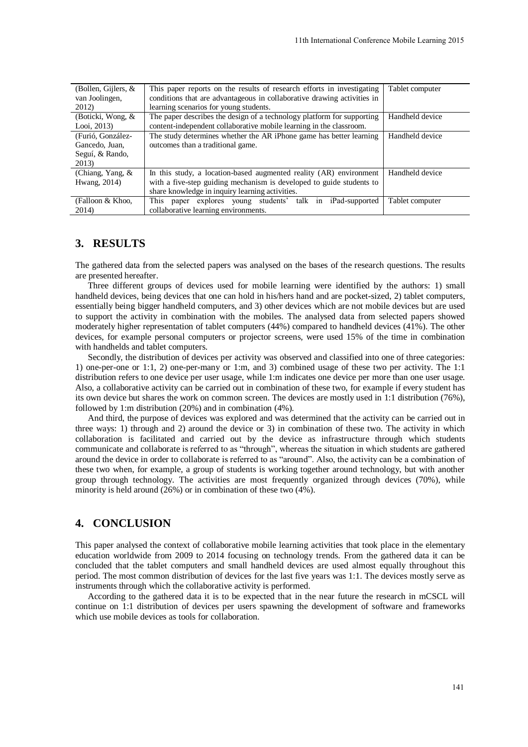| (Bollen, Gijlers, $\&$ | This paper reports on the results of research efforts in investigating  | Tablet computer |
|------------------------|-------------------------------------------------------------------------|-----------------|
| van Joolingen,         | conditions that are advantageous in collaborative drawing activities in |                 |
| 2012)                  | learning scenarios for young students.                                  |                 |
| (Boticki, Wong, &      | The paper describes the design of a technology platform for supporting  | Handheld device |
| Looi, $2013$ )         | content-independent collaborative mobile learning in the classroom.     |                 |
| (Furió, González-      | The study determines whether the AR iPhone game has better learning     | Handheld device |
| Gancedo, Juan,         | outcomes than a traditional game.                                       |                 |
| Seguí, & Rando,        |                                                                         |                 |
| 2013)                  |                                                                         |                 |
| (Chiang, Yang, $\&$    | In this study, a location-based augmented reality (AR) environment      | Handheld device |
| Hwang, 2014)           | with a five-step guiding mechanism is developed to guide students to    |                 |
|                        | share knowledge in inquiry learning activities.                         |                 |
| (Falloon & Khoo,       | This paper explores young students' talk in iPad-supported              | Tablet computer |
| 2014)                  | collaborative learning environments.                                    |                 |

#### **3. RESULTS**

The gathered data from the selected papers was analysed on the bases of the research questions. The results are presented hereafter.

Three different groups of devices used for mobile learning were identified by the authors: 1) small handheld devices, being devices that one can hold in his/hers hand and are pocket-sized, 2) tablet computers, essentially being bigger handheld computers, and 3) other devices which are not mobile devices but are used to support the activity in combination with the mobiles. The analysed data from selected papers showed moderately higher representation of tablet computers (44%) compared to handheld devices (41%). The other devices, for example personal computers or projector screens, were used 15% of the time in combination with handhelds and tablet computers.

Secondly, the distribution of devices per activity was observed and classified into one of three categories: 1) one-per-one or 1:1, 2) one-per-many or 1:m, and 3) combined usage of these two per activity. The 1:1 distribution refers to one device per user usage, while 1:m indicates one device per more than one user usage. Also, a collaborative activity can be carried out in combination of these two, for example if every student has its own device but shares the work on common screen. The devices are mostly used in 1:1 distribution (76%), followed by 1:m distribution (20%) and in combination (4%).

And third, the purpose of devices was explored and was determined that the activity can be carried out in three ways: 1) through and 2) around the device or 3) in combination of these two. The activity in which collaboration is facilitated and carried out by the device as infrastructure through which students communicate and collaborate is referred to as "through", whereas the situation in which students are gathered around the device in order to collaborate is referred to as "around". Also, the activity can be a combination of these two when, for example, a group of students is working together around technology, but with another group through technology. The activities are most frequently organized through devices (70%), while minority is held around (26%) or in combination of these two (4%).

## **4. CONCLUSION**

This paper analysed the context of collaborative mobile learning activities that took place in the elementary education worldwide from 2009 to 2014 focusing on technology trends. From the gathered data it can be concluded that the tablet computers and small handheld devices are used almost equally throughout this period. The most common distribution of devices for the last five years was 1:1. The devices mostly serve as instruments through which the collaborative activity is performed.

According to the gathered data it is to be expected that in the near future the research in mCSCL will continue on 1:1 distribution of devices per users spawning the development of software and frameworks which use mobile devices as tools for collaboration.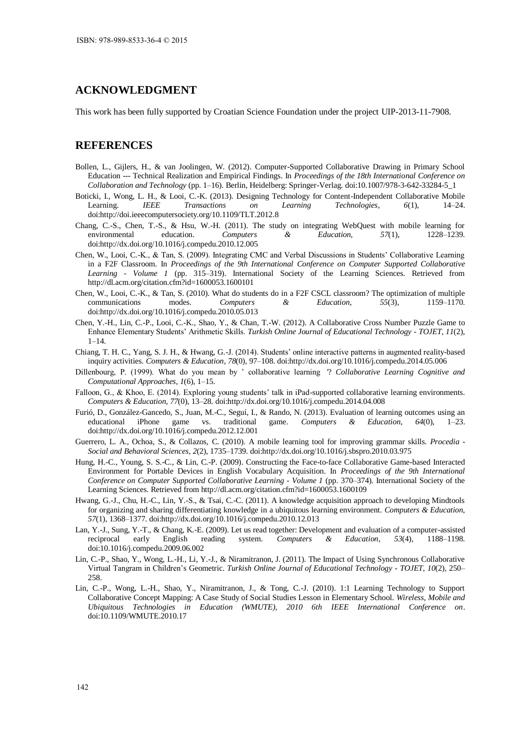## **ACKNOWLEDGMENT**

This work has been fully supported by Croatian Science Foundation under the project UIP-2013-11-7908.

#### **REFERENCES**

- Bollen, L., Gijlers, H., & van Joolingen, W. (2012). Computer-Supported Collaborative Drawing in Primary School Education --- Technical Realization and Empirical Findings. In *Proceedings of the 18th International Conference on Collaboration and Technology* (pp. 1–16). Berlin, Heidelberg: Springer-Verlag. doi:10.1007/978-3-642-33284-5\_1
- Boticki, I., Wong, L. H., & Looi, C.-K. (2013). Designing Technology for Content-Independent Collaborative Mobile Learning. *IEEE Transactions on Learning Technologies*, *6*(1), 14–24. doi:http://doi.ieeecomputersociety.org/10.1109/TLT.2012.8
- Chang, C.-S., Chen, T.-S., & Hsu, W.-H. (2011). The study on integrating WebQuest with mobile learning for environmental education. *Computers & Education*, *57*(1), 1228–1239. doi:http://dx.doi.org/10.1016/j.compedu.2010.12.005
- Chen, W., Looi, C.-K., & Tan, S. (2009). Integrating CMC and Verbal Discussions in Students' Collaborative Learning in a F2F Classroom. In *Proceedings of the 9th International Conference on Computer Supported Collaborative Learning - Volume 1* (pp. 315–319). International Society of the Learning Sciences. Retrieved from http://dl.acm.org/citation.cfm?id=1600053.1600101
- Chen, W., Looi, C.-K., & Tan, S. (2010). What do students do in a F2F CSCL classroom? The optimization of multiple communications modes. *Computers & Education*, *55*(3), 1159–1170. doi:http://dx.doi.org/10.1016/j.compedu.2010.05.013
- Chen, Y.-H., Lin, C.-P., Looi, C.-K., Shao, Y., & Chan, T.-W. (2012). A Collaborative Cross Number Puzzle Game to Enhance Elementary Students' Arithmetic Skills. *Turkish Online Journal of Educational Technology - TOJET*, *11*(2),  $1 - 14.$
- Chiang, T. H. C., Yang, S. J. H., & Hwang, G.-J. (2014). Students' online interactive patterns in augmented reality-based inquiry activities. *Computers & Education*, *78*(0), 97–108. doi:http://dx.doi.org/10.1016/j.compedu.2014.05.006
- Dillenbourg, P. (1999). What do you mean by ' collaborative learning '? *Collaborative Learning Cognitive and Computational Approaches*, *1*(6), 1–15.
- Falloon, G., & Khoo, E. (2014). Exploring young students' talk in iPad-supported collaborative learning environments. *Computers & Education*, *77*(0), 13–28. doi:http://dx.doi.org/10.1016/j.compedu.2014.04.008
- Furió, D., González-Gancedo, S., Juan, M.-C., Seguí, I., & Rando, N. (2013). Evaluation of learning outcomes using an educational iPhone game vs. traditional game. *Computers & Education*, *64*(0), 1–23. doi:http://dx.doi.org/10.1016/j.compedu.2012.12.001
- Guerrero, L. A., Ochoa, S., & Collazos, C. (2010). A mobile learning tool for improving grammar skills. *Procedia Social and Behavioral Sciences*, *2*(2), 1735–1739. doi:http://dx.doi.org/10.1016/j.sbspro.2010.03.975
- Hung, H.-C., Young, S. S.-C., & Lin, C.-P. (2009). Constructing the Face-to-face Collaborative Game-based Interacted Environment for Portable Devices in English Vocabulary Acquisition. In *Proceedings of the 9th International Conference on Computer Supported Collaborative Learning - Volume 1* (pp. 370–374). International Society of the Learning Sciences. Retrieved from http://dl.acm.org/citation.cfm?id=1600053.1600109
- Hwang, G.-J., Chu, H.-C., Lin, Y.-S., & Tsai, C.-C. (2011). A knowledge acquisition approach to developing Mindtools for organizing and sharing differentiating knowledge in a ubiquitous learning environment. *Computers & Education*, *57*(1), 1368–1377. doi:http://dx.doi.org/10.1016/j.compedu.2010.12.013
- Lan, Y.-J., Sung, Y.-T., & Chang, K.-E. (2009). Let us read together: Development and evaluation of a computer-assisted reciprocal early English reading system. *Computers & Education*, *53*(4), 1188–1198. doi:10.1016/j.compedu.2009.06.002
- Lin, C.-P., Shao, Y., Wong, L.-H., Li, Y.-J., & Niramitranon, J. (2011). The Impact of Using Synchronous Collaborative Virtual Tangram in Children's Geometric. *Turkish Online Journal of Educational Technology - TOJET*, *10*(2), 250– 258.
- Lin, C.-P., Wong, L.-H., Shao, Y., Niramitranon, J., & Tong, C.-J. (2010). 1:1 Learning Technology to Support Collaborative Concept Mapping: A Case Study of Social Studies Lesson in Elementary School. *Wireless, Mobile and Ubiquitous Technologies in Education (WMUTE), 2010 6th IEEE International Conference on*. doi:10.1109/WMUTE.2010.17